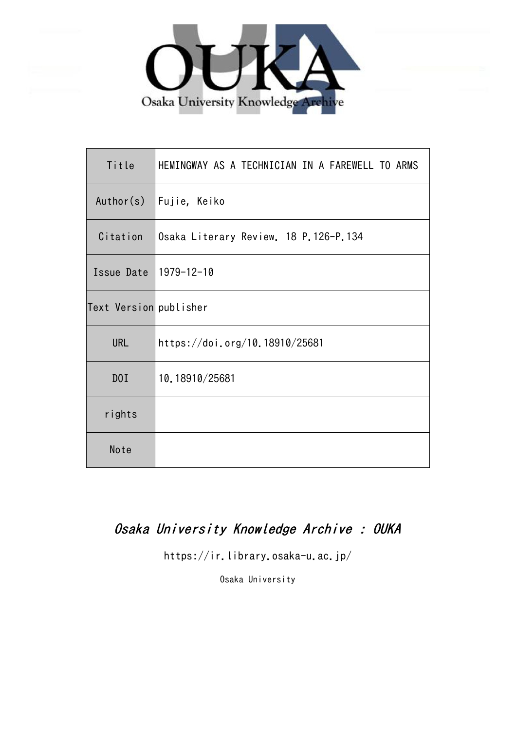

| Title                  | HEMINGWAY AS A TECHNICIAN IN A FAREWELL TO ARMS |
|------------------------|-------------------------------------------------|
| Author(s)              | Fujie, Keiko                                    |
| Citation               | Osaka Literary Review. 18 P.126-P.134           |
| Issue Date             | 1979-12-10                                      |
| Text Version publisher |                                                 |
| <b>URL</b>             | https://doi.org/10.18910/25681                  |
| DOI                    | 10.18910/25681                                  |
| rights                 |                                                 |
| Note                   |                                                 |

# Osaka University Knowledge Archive : OUKA

https://ir.library.osaka-u.ac.jp/

Osaka University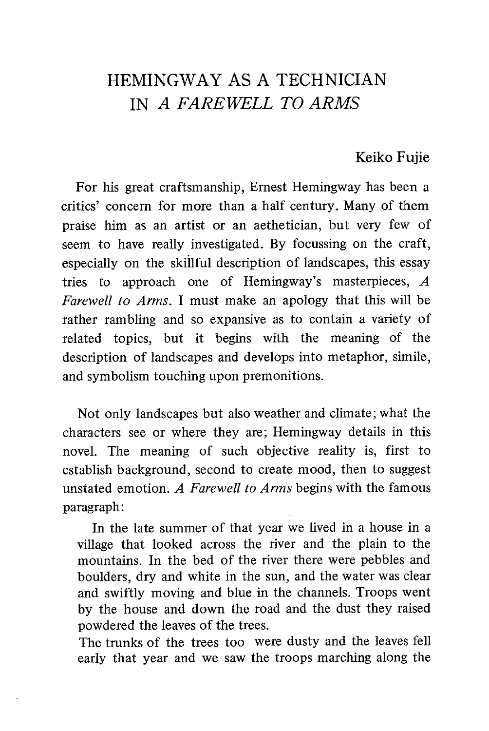# HEMINGWAY AS A TECHNICIAN IN A FAREWELL TO ARMS

## Keiko Fujie

For his great craftsmanship, Ernest Hemingway has been a critics' concern for more than a half century. Many of them praise him as an artist or an aethetician, but very few of seem to have really investigated. By focussing on the craft, especially on the skillful description of landscapes, this essay tries to approach one of Hemingway's masterpieces, A Farewell to Arms. I must make an apology that this will be rather rambling and so expansive as to contain a variety of related topics, but it begins with the meaning of the description of landscapes and develops into metaphor, simile, and symbolism touching upon premonitions.

Not only landscapes but also weather and climate; what the characters see or where they are; Hemingway details in this novel. The meaning of such objective reality is, first to establish background, second to create mood, then to suggest unstated emotion. A Farewell to Arms begins with the famous paragraph:

 In the late summer of that year we lived in a house in a village that looked across the river and the plain to the mountains. In the bed of the river there were pebbles and boulders, dry and white in the sun, and the water was clear and swiftly moving and blue in the channels. Troops went by the house and down the road and the dust they raised powdered the leaves of the trees.

The trunks of the trees too were dusty and the leaves fell early that year and we saw the troops marching along the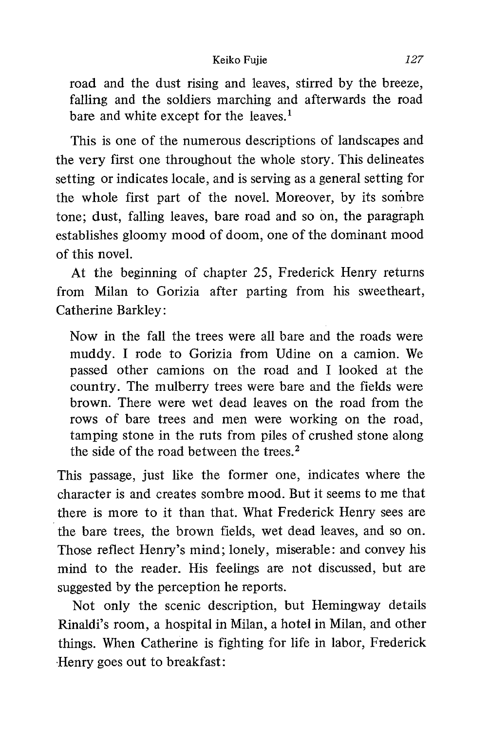#### Keiko Fujie 127

road and the dust rising and leaves, stirred by the breeze, falling and the soldiers marching and afterwards the road bare and white except for the leaves.<sup>1</sup>

This is one of the numerous descriptions of landscapes and the very first one throughout the whole story. This delineates setting or indicates locale, and is serving as a general setting for the whole first part of the novel. Moreover, by its sombre tone; dust, falling leaves, bare road and so on, the paragraph establishes gloomy mood of doom, one of the dominant mood of this novel.

At the beginning of chapter 25, Frederick Henry returns from Milan to Gorizia after parting from his sweetheart, Catherine Barkley:

Now in the fall the trees were all bare and the roads were muddy. I rode to Gorizia from Udine on a camion. We passed other camions on the road and I looked at the country. The mulberry trees were bare and the fields were brown. There were wet dead leaves on the road from the rows of bare trees and men were working on the road, tamping stone in the ruts from piles of crushed stone along the side of the road between the trees.<sup>2</sup>

This passage, just like the former one, indicates where the character is and creates sombre mood. But it seems to me that there is more to it than that. What Frederick Henry sees are the bare trees, the brown fields, wet dead leaves, and so on. Those reflect Henry's mind; lonely, miserable: and convey his mind to the reader. His feelings are not discussed, but are suggested by the perception he reports.

Not only the scenic description, but Hemingway details Rinaldi's room, a hospital in Milan, a hotel in Milan, and other things. When Catherine is fighting for life in labor, Frederick Henry goes out to breakfast: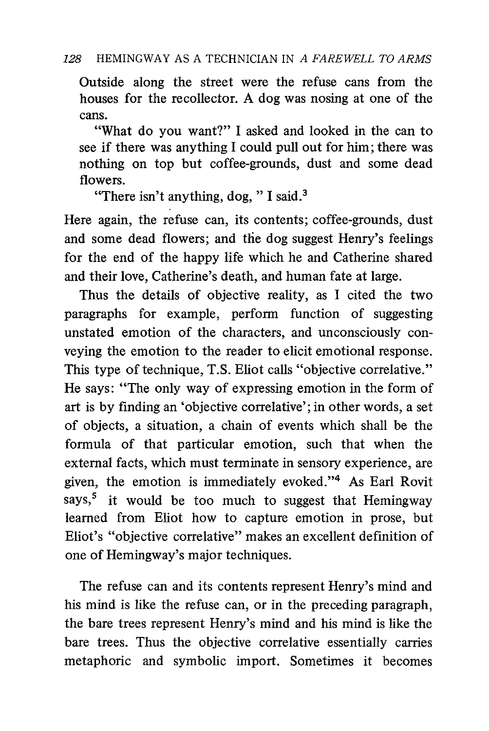Outside along the street were the refuse cans from the houses for the recollector. A dog was nosing at one of the cans.

 "What do you want?" I asked and looked in the can to see if there was anything I could pull out for him; there was nothing on top but coffee-grounds, dust and some dead flowers.

"There isn't anything, dog, " I said.<sup>3</sup>

Here again, the refuse can, its contents; coffee-grounds, dust and some dead flowers; and the dog suggest Henry's feelings for the end of the happy life which he and Catherine shared and their love, Catherine's death, and human fate at large.

Thus the details of objective reality, as I cited the two paragraphs for example, perform function of suggesting unstated emotion of the characters, and unconsciously conveying the emotion to the reader to elicit emotional response. This type of technique, T.S. Eliot calls "objective correlative." He says: "The only way of expressing emotion in the form of art is by finding an 'objective correlative'; in other words, a set of objects, a situation, a chain of events which shall be the formula of that particular emotion, such that when the external facts, which must terminate in sensory experience, are given, the emotion is immediately evoked."' As Earl Rovit says,<sup>5</sup> it would be too much to suggest that Hemingway learned from Eliot how to capture emotion in prose, but Eliot's "objective correlative" makes an excellent definition of one of Hemingway's major techniques.

The refuse can and its contents represent Henry's mind and his mind is like the refuse can, or in the preceding paragraph, the bare trees represent Henry's mind and his mind is like the bare trees. Thus the objective correlative essentially carries metaphoric and symbolic import. Sometimes it becomes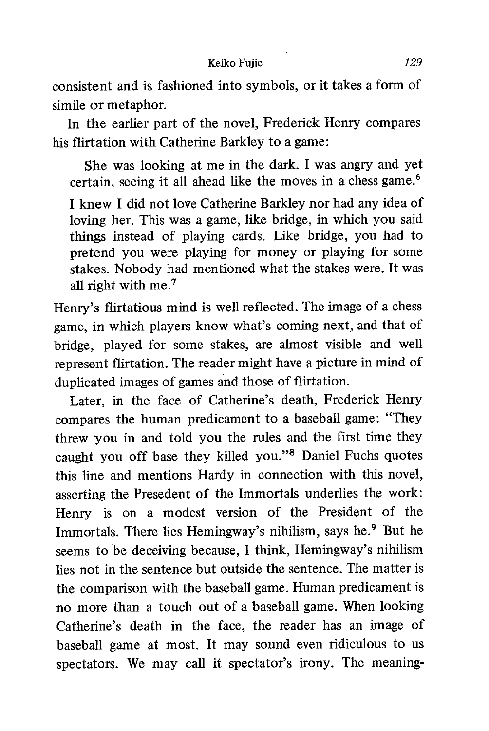consistent and is fashioned into symbols, or it takes a form of simile or metaphor.

In the earlier part of the novel, Frederick Henry compares his flirtation with Catherine Barkley to a game:

She was looking at me in the dark. I was angry and yet certain, seeing it all ahead like the moves in a chess game.6

I knew I did not love Catherine Barkley nor had any idea of loving her. This was a game, like bridge, in which you said things instead of playing cards. Like bridge, you had to pretend you were playing for money or playing for some stakes. Nobody had mentioned what the stakes were. It was all right with me.7

Henry's flirtatious mind is well reflected. The image of a chess game, in which players know what's coming next, and that of bridge, played for some stakes, are almost visible and well represent flirtation. The reader might have a picture in mind of duplicated images of games and those of flirtation.

Later, in the face of Catherine's death, Frederick Henry compares the human predicament to a baseball game: "They threw you in and told you the rules and the first time they caught you off base they killed you."6 Daniel Fuchs quotes this line and mentions Hardy in connection with this novel, asserting the Presedent of the Immortals underlies the work: Henry is on a modest version of the President of the Immortals. There lies Hemingway's nihilism, says he.<sup>9</sup> But he seems to be deceiving because, I think, Hemingway's nihilism lies not in the sentence but outside the sentence. The matter is the comparison with the baseball game. Human predicament is no more than a touch out of a baseball game. When looking Catherine's death in the face, the reader has an image of baseball game at most. It may sound even ridiculous to us spectators. We may call it spectator's irony. The meaning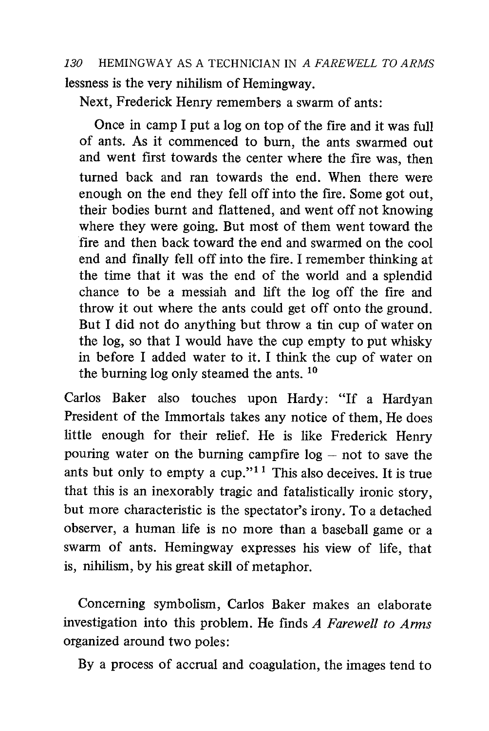130 HEMINGWAY AS A TECHNICIAN IN A FAREWELL TO ARMS lessness is the very nihilism of Hemingway.

Next, Frederick Henry remembers a swarm of ants:

Once in camp I put a log on top of the fire and it was full of ants. As it commenced to burn, the ants swarmed out and went first towards the center where the fire was, then turned back and ran towards the end. When there were enough on the end they fell off into the fire. Some got out, their bodies burnt and flattened, and went off not knowing where they were going. But most of them went toward the fire and then back toward the end and swarmed on the cool end and finally fell off into the fire. I remember thinking at the time that it was the end of the world and a splendid chance to be a messiah and lift the log off the fire and throw it out where the ants could get off onto the ground. But I did not do anything but throw a tin cup of water on the log, so that I would have the cup empty to put whisky in before I added water to it. I think the cup of water on the burning log only steamed the ants. 10

Carlos Baker also touches upon Hardy: "If a Hardyan President of the Immortals takes any notice of them, He does little enough for their relief. He is like Frederick Henry pouring water on the burning campfire  $log - not$  to save the ants but only to empty a cup."<sup>11</sup> This also deceives. It is true that this is an inexorably tragic and fatalistically ironic story, but more characteristic is the spectator's irony. To a detached observer, a human life is no more than a baseball game or a swarm of ants. Hemingway expresses his view of life, that is, nihilism, by his great skill of metaphor.

Concerning symbolism, Carlos Baker makes an elaborate investigation into this problem. He finds A Farewell to Arms organized around two poles:

By a process of accrual and coagulation, the images tend to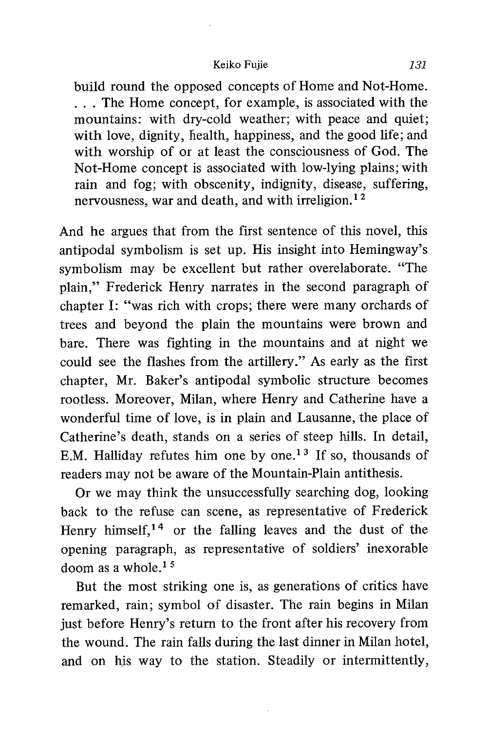#### Keiko Fujie 131

build round the opposed concepts of Home and Not-Home. . . . The Home concept, for example, is associated with the mountains: with dry-cold weather; with peace and quiet; with love, dignity, health, happiness, and the good life; and with worship of or at least the consciousness of God. The Not-Home concept is associated with low-lying plains; with rain and fog; with obscenity, indignity, disease, suffering, nervousness, war and death, and with irreligion.<sup>12</sup>

And he argues that from the first sentence of this novel, this antipodal symbolism is set up. His insight into Hemingway's symbolism may be excellent but rather overelaborate. "The plain," Frederick Henry narrates in the second paragraph of chapter I: "was rich with crops; there were many orchards of trees and beyond the plain the mountains were brown and bare. There was fighting in the mountains and at night we could see the flashes from the artillery." As early as the first chapter, Mr. Baker's antipodal symbolic structure becomes rootless. Moreover, Milan, where Henry and Catherine have a wonderful time of love, is in plain and Lausanne, the place of Catherine's death, stands on a series of steep hills. In detail, E.M. Halliday refutes him one by one.<sup>13</sup> If so, thousands of readers may not be aware of the Mountain-Plain antithesis.

Or we may think the unsuccessfully searching dog, looking back to the refuse can scene, as representative of Frederick Henry himself,<sup>14</sup> or the falling leaves and the dust of the opening paragraph, as representative of soldiers' inexorable doom as a whole. $15$ 

But the most striking one is, as generations of critics have remarked, rain; symbol of disaster. The rain begins in Milan just before Henry's return to the front after his recovery from the wound. The rain falls during the last dinner in Milan hotel, and on his way to the station. Steadily or intermittently,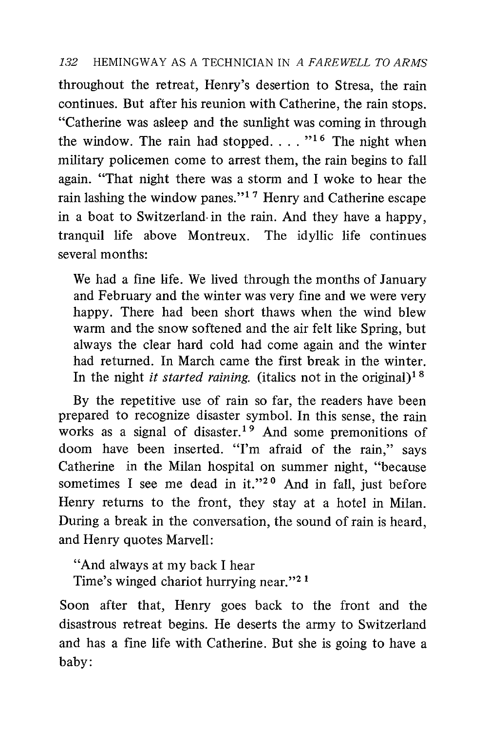### 132 HEMINGWAY AS A TECHNICIAN IN A FAREWELL TO ARMS

throughout the retreat, Henry's desertion to Stresa, the rain continues. But after his reunion with Catherine, the rain stops. "Catherine was asleep and the sunlight was coming in through the window. The rain had stopped.  $\ldots$  <sup>"16</sup> The night when military policemen come to arrest them, the rain begins to fall again. "That night there was a storm and I woke to hear the rain lashing the window panes."1 7 Henry and Catherine escape in a boat to Switzerland. in the rain. And they have a happy, tranquil life above Montreux. The idyllic life continues several months:

We had a fine life. We lived through the months of January and February and the winter was very fine and we were very happy. There had been short thaws when the wind blew warm and the snow softened and the air felt like Spring, but always the clear hard cold had come again and the winter had returned. In March came the first break in the winter. In the night *it started raining*. (italics not in the original)<sup>18</sup>

By the repetitive use of rain so far, the readers have been prepared to recognize disaster symbol. In this sense, the rain works as a signal of disaster.<sup>19</sup> And some premonitions of doom have been inserted. "I'm afraid of the rain," says Catherine in the Milan hospital on summer night, "because sometimes I see me dead in it."<sup>20</sup> And in fall, just before Henry returns to the front, they stay at a hotel in Milan. During a break in the conversation, the sound of rain is heard, and Henry quotes Marvell:

"And always at my back I hear Time's winged chariot hurrying near."<sup>21</sup>

Soon after that, Henry goes back to the front and the disastrous retreat begins. He deserts the army to Switzerland and has a fine life with Catherine. But she is going to have a baby: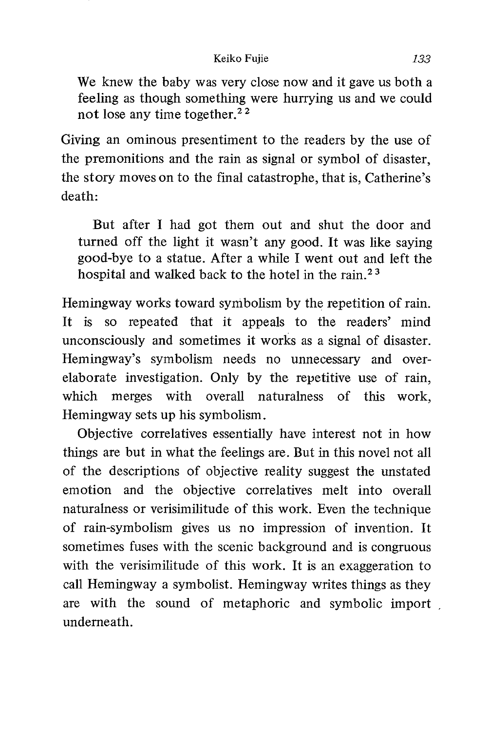We knew the baby was very close now and it gave us both a feeling as though something were hurrying us and we could not lose any time together.<sup>22</sup>

Giving an ominous presentiment to the readers by the use of the premonitions and the rain as signal or symbol of disaster, the story moves on to the final catastrophe, that is, Catherine's death:

 But after I had got them out and shut the door and turned off the light it wasn't any good. It was like saying good-bye to a statue. After a while I went out and left the hospital and walked back to the hotel in the rain. $2<sup>3</sup>$ 

Hemingway works toward symbolism by the repetition of rain. It is so repeated that it appeals to the readers' mind unconsciously and sometimes it works as a signal of disaster. Hemingway's symbolism needs no unnecessary and overelaborate investigation. Only by the repetitive use of rain, which merges with overall naturalness of this work, Hemingway sets up his symbolism.

Objective correlatives essentially have interest not in how things are but in what the feelings are. But in this novel not all of the descriptions of objective reality suggest the unstated emotion and the objective correlatives melt into overall naturalness or verisimilitude of this work. Even the technique of rain-symbolism gives us no impression of invention. It sometimes fuses with the scenic background and is congruous with the verisimilitude of this work. It is an exaggeration to call Hemingway a symbolist. Hemingway writes things as they are with the sound of metaphoric and symbolic import , underneath.